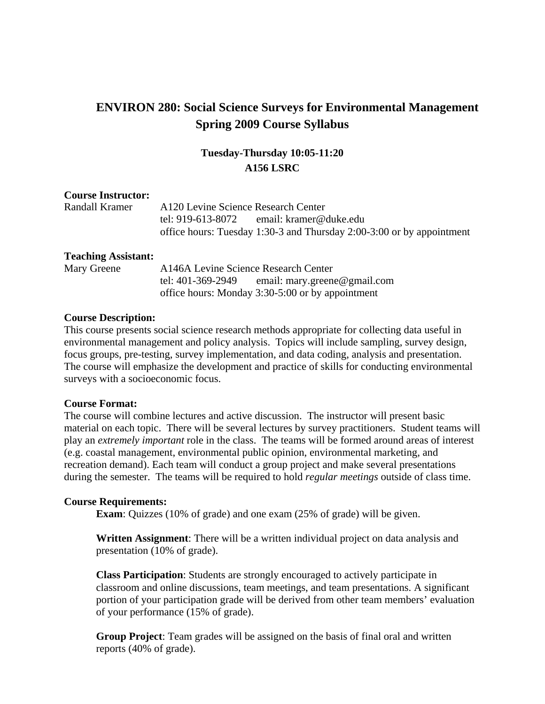# **ENVIRON 280: Social Science Surveys for Environmental Management Spring 2009 Course Syllabus**

# **Tuesday-Thursday 10:05-11:20 A156 LSRC**

# **Course Instructor:**

| Randall Kramer | A120 Levine Science Research Center |                                                                       |
|----------------|-------------------------------------|-----------------------------------------------------------------------|
|                |                                     | tel: 919-613-8072 email: kramer@duke.edu                              |
|                |                                     | office hours: Tuesday 1:30-3 and Thursday 2:00-3:00 or by appointment |

# **Teaching Assistant:**

Mary Greene A146A Levine Science Research Center tel: 401-369-2949 email: mary.greene@gmail.com office hours: Monday 3:30-5:00 or by appointment

# **Course Description:**

This course presents social science research methods appropriate for collecting data useful in environmental management and policy analysis. Topics will include sampling, survey design, focus groups, pre-testing, survey implementation, and data coding, analysis and presentation. The course will emphasize the development and practice of skills for conducting environmental surveys with a socioeconomic focus.

#### **Course Format:**

The course will combine lectures and active discussion. The instructor will present basic material on each topic. There will be several lectures by survey practitioners. Student teams will play an *extremely important* role in the class. The teams will be formed around areas of interest (e.g. coastal management, environmental public opinion, environmental marketing, and recreation demand). Each team will conduct a group project and make several presentations during the semester. The teams will be required to hold *regular meetings* outside of class time.

# **Course Requirements:**

**Exam**: Quizzes (10% of grade) and one exam (25% of grade) will be given.

**Written Assignment**: There will be a written individual project on data analysis and presentation (10% of grade).

**Class Participation**: Students are strongly encouraged to actively participate in classroom and online discussions, team meetings, and team presentations. A significant portion of your participation grade will be derived from other team members' evaluation of your performance (15% of grade).

**Group Project**: Team grades will be assigned on the basis of final oral and written reports (40% of grade).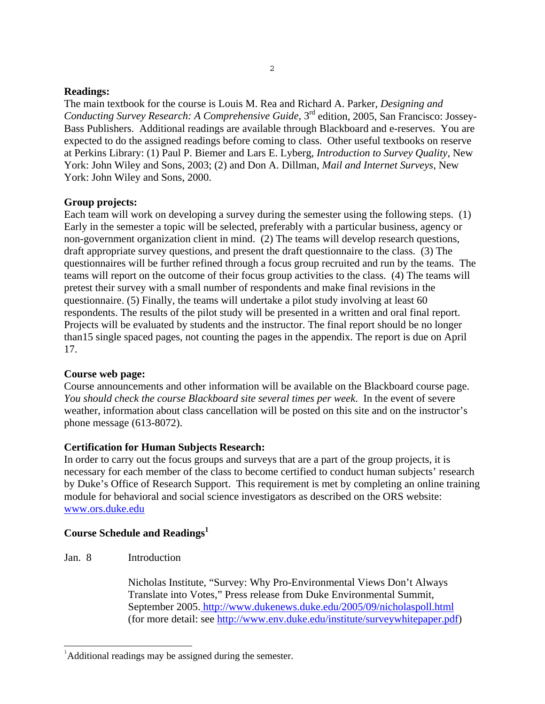### **Readings:**

The main textbook for the course is Louis M. Rea and Richard A. Parker, *Designing and Conducting Survey Research: A Comprehensive Guide*, 3<sup>rd</sup> edition, 2005, San Francisco: Jossey-Bass Publishers. Additional readings are available through Blackboard and e-reserves. You are expected to do the assigned readings before coming to class. Other useful textbooks on reserve at Perkins Library: (1) Paul P. Biemer and Lars E. Lyberg, *Introduction to Survey Quality*, New York: John Wiley and Sons, 2003; (2) and Don A. Dillman, *Mail and Internet Surveys*, New York: John Wiley and Sons, 2000.

# **Group projects:**

Each team will work on developing a survey during the semester using the following steps. (1) Early in the semester a topic will be selected, preferably with a particular business, agency or non-government organization client in mind. (2) The teams will develop research questions, draft appropriate survey questions, and present the draft questionnaire to the class. (3) The questionnaires will be further refined through a focus group recruited and run by the teams. The teams will report on the outcome of their focus group activities to the class. (4) The teams will pretest their survey with a small number of respondents and make final revisions in the questionnaire. (5) Finally, the teams will undertake a pilot study involving at least 60 respondents. The results of the pilot study will be presented in a written and oral final report. Projects will be evaluated by students and the instructor. The final report should be no longer than15 single spaced pages, not counting the pages in the appendix. The report is due on April 17.

#### **Course web page:**

Course announcements and other information will be available on the Blackboard course page. *You should check the course Blackboard site several times per week*. In the event of severe weather, information about class cancellation will be posted on this site and on the instructor's phone message (613-8072).

# **Certification for Human Subjects Research:**

In order to carry out the focus groups and surveys that are a part of the group projects, it is necessary for each member of the class to become certified to conduct human subjects' research by Duke's Office of Research Support. This requirement is met by completing an online training module for behavioral and social science investigators as described on the ORS website: www.ors.duke.edu

# **Course Schedule and Readings<sup>1</sup>**

Jan. 8 Introduction

÷,

 Nicholas Institute, "Survey: Why Pro-Environmental Views Don't Always Translate into Votes," Press release from Duke Environmental Summit, September 2005. http://www.dukenews.duke.edu/2005/09/nicholaspoll.html (for more detail: see http://www.env.duke.edu/institute/surveywhitepaper.pdf)

<sup>&</sup>lt;sup>1</sup>Additional readings may be assigned during the semester.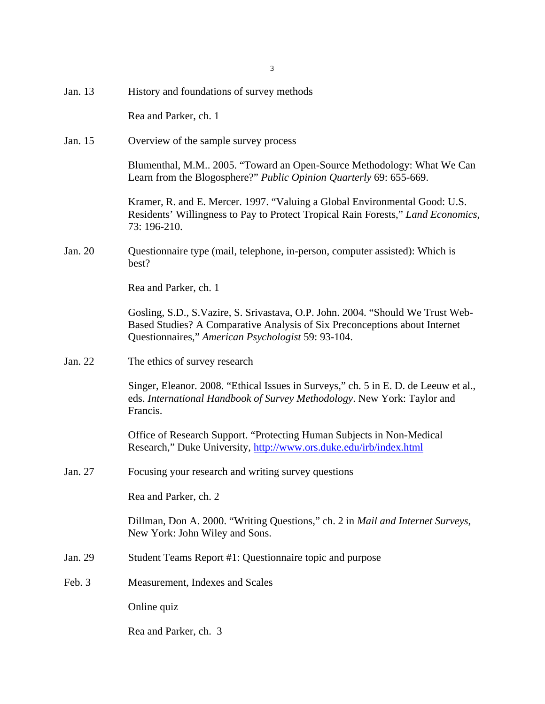| Jan. 13 | History and foundations of survey methods                                                                                                                                                                          |
|---------|--------------------------------------------------------------------------------------------------------------------------------------------------------------------------------------------------------------------|
|         | Rea and Parker, ch. 1                                                                                                                                                                                              |
| Jan. 15 | Overview of the sample survey process                                                                                                                                                                              |
|         | Blumenthal, M.M., 2005. "Toward an Open-Source Methodology: What We Can<br>Learn from the Blogosphere?" Public Opinion Quarterly 69: 655-669.                                                                      |
|         | Kramer, R. and E. Mercer. 1997. "Valuing a Global Environmental Good: U.S.<br>Residents' Willingness to Pay to Protect Tropical Rain Forests," Land Economics,<br>73: 196-210.                                     |
| Jan. 20 | Questionnaire type (mail, telephone, in-person, computer assisted): Which is<br>best?                                                                                                                              |
|         | Rea and Parker, ch. 1                                                                                                                                                                                              |
|         | Gosling, S.D., S.Vazire, S. Srivastava, O.P. John. 2004. "Should We Trust Web-<br>Based Studies? A Comparative Analysis of Six Preconceptions about Internet<br>Questionnaires," American Psychologist 59: 93-104. |
| Jan. 22 | The ethics of survey research                                                                                                                                                                                      |
|         | Singer, Eleanor. 2008. "Ethical Issues in Surveys," ch. 5 in E. D. de Leeuw et al.,<br>eds. International Handbook of Survey Methodology. New York: Taylor and<br>Francis.                                         |
|         | Office of Research Support. "Protecting Human Subjects in Non-Medical<br>Research," Duke University, http://www.ors.duke.edu/irb/index.html                                                                        |
| Jan. 27 | Focusing your research and writing survey questions                                                                                                                                                                |
|         | Rea and Parker, ch. 2                                                                                                                                                                                              |
|         | Dillman, Don A. 2000. "Writing Questions," ch. 2 in Mail and Internet Surveys,<br>New York: John Wiley and Sons.                                                                                                   |
| Jan. 29 | Student Teams Report #1: Questionnaire topic and purpose                                                                                                                                                           |
| Feb. 3  | Measurement, Indexes and Scales                                                                                                                                                                                    |
|         | Online quiz                                                                                                                                                                                                        |
|         | Rea and Parker, ch. 3                                                                                                                                                                                              |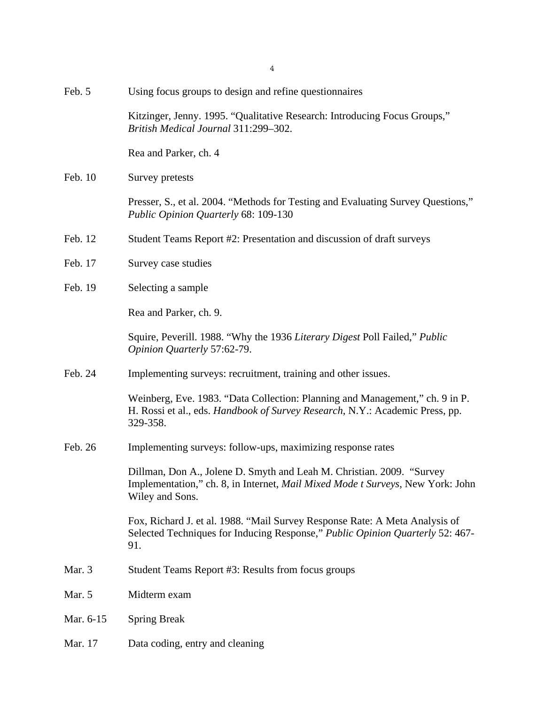| Feb. 5    | Using focus groups to design and refine questionnaires                                                                                                                             |
|-----------|------------------------------------------------------------------------------------------------------------------------------------------------------------------------------------|
|           | Kitzinger, Jenny. 1995. "Qualitative Research: Introducing Focus Groups,"<br>British Medical Journal 311:299-302.                                                                  |
|           | Rea and Parker, ch. 4                                                                                                                                                              |
| Feb. 10   | Survey pretests                                                                                                                                                                    |
|           | Presser, S., et al. 2004. "Methods for Testing and Evaluating Survey Questions,"<br>Public Opinion Quarterly 68: 109-130                                                           |
| Feb. 12   | Student Teams Report #2: Presentation and discussion of draft surveys                                                                                                              |
| Feb. 17   | Survey case studies                                                                                                                                                                |
| Feb. 19   | Selecting a sample                                                                                                                                                                 |
|           | Rea and Parker, ch. 9.                                                                                                                                                             |
|           | Squire, Peverill. 1988. "Why the 1936 Literary Digest Poll Failed," Public<br>Opinion Quarterly 57:62-79.                                                                          |
| Feb. 24   | Implementing surveys: recruitment, training and other issues.                                                                                                                      |
|           | Weinberg, Eve. 1983. "Data Collection: Planning and Management," ch. 9 in P.<br>H. Rossi et al., eds. Handbook of Survey Research, N.Y.: Academic Press, pp.<br>329-358.           |
| Feb. 26   | Implementing surveys: follow-ups, maximizing response rates                                                                                                                        |
|           | Dillman, Don A., Jolene D. Smyth and Leah M. Christian. 2009. "Survey<br>Implementation," ch. 8, in Internet, <i>Mail Mixed Mode t Surveys</i> , New York: John<br>Wiley and Sons. |
|           | Fox, Richard J. et al. 1988. "Mail Survey Response Rate: A Meta Analysis of<br>Selected Techniques for Inducing Response," Public Opinion Quarterly 52: 467-<br>91.                |
| Mar. 3    | Student Teams Report #3: Results from focus groups                                                                                                                                 |
| Mar. 5    | Midterm exam                                                                                                                                                                       |
| Mar. 6-15 | <b>Spring Break</b>                                                                                                                                                                |
| Mar. 17   | Data coding, entry and cleaning                                                                                                                                                    |